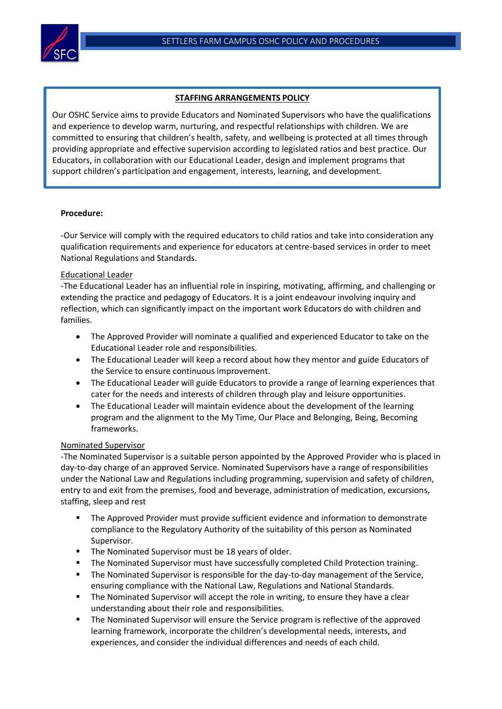

#### **STAFFING ARRANGEMENTS POLICY**

Our OSHC Service aims to provide Educators and Nominated Supervisors who have the qualifications and experience to develop warm, nurturing, and respectful relationships with children. We are committed to ensuring that children's health, safety, and wellbeing is protected at all times through providing appropriate and effective supervision according to legislated ratios and best practice. Our Educators, in collaboration with our Educational Leader, design and implement programs that support children's participation and engagement, interests, learning, and development.

## **Procedure:**

-Our Service will comply with the required educators to child ratios and take into consideration any qualification requirements and experience for educators at centre-based services in order to meet National Regulations and Standards.

## Educational Leader

-The Educational Leader has an influential role in inspiring, motivating, affirming, and challenging or extending the practice and pedagogy of Educators. It is a joint endeavour involving inquiry and reflection, which can significantly impact on the important work Educators do with children and families.

- The Approved Provider will nominate a qualified and experienced Educator to take on the Educational Leader role and responsibilities.
- The Educational Leader will keep a record about how they mentor and guide Educators of the Service to ensure continuous improvement.
- The Educational Leader will guide Educators to provide a range of learning experiences that cater for the needs and interests of children through play and leisure opportunities.
- The Educational Leader will maintain evidence about the development of the learning program and the alignment to the My Time, Our Place and Belonging, Being, Becoming frameworks.

## Nominated Supervisor

-The Nominated Supervisor is a suitable person appointed by the Approved Provider who is placed in day-to-day charge of an approved Service. Nominated Supervisors have a range of responsibilities under the National Law and Regulations including programming, supervision and safety of children, entry to and exit from the premises, food and beverage, administration of medication, excursions, staffing, sleep and rest

- The Approved Provider must provide sufficient evidence and information to demonstrate compliance to the Regulatory Authority of the suitability of this person as Nominated Supervisor.
- The Nominated Supervisor must be 18 years of older.
- **The Nominated Supervisor must have successfully completed Child Protection training.**
- **E** The Nominated Supervisor is responsible for the day-to-day management of the Service, ensuring compliance with the National Law, Regulations and National Standards.
- **■** The Nominated Supervisor will accept the role in writing, to ensure they have a clear understanding about their role and responsibilities.
- **■** The Nominated Supervisor will ensure the Service program is reflective of the approved learning framework, incorporate the children's developmental needs, interests, and experiences, and consider the individual differences and needs of each child.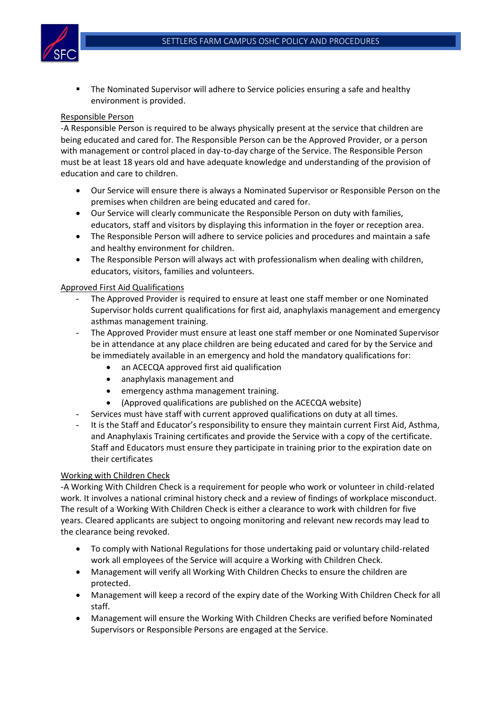

▪ The Nominated Supervisor will adhere to Service policies ensuring a safe and healthy environment is provided.

### Responsible Person

-A Responsible Person is required to be always physically present at the service that children are being educated and cared for. The Responsible Person can be the Approved Provider, or a person with management or control placed in day-to-day charge of the Service. The Responsible Person must be at least 18 years old and have adequate knowledge and understanding of the provision of education and care to children.

- Our Service will ensure there is always a Nominated Supervisor or Responsible Person on the premises when children are being educated and cared for.
- Our Service will clearly communicate the Responsible Person on duty with families, educators, staff and visitors by displaying this information in the foyer or reception area.
- The Responsible Person will adhere to service policies and procedures and maintain a safe and healthy environment for children.
- The Responsible Person will always act with professionalism when dealing with children, educators, visitors, families and volunteers.

#### Approved First Aid Qualifications

- The Approved Provider is required to ensure at least one staff member or one Nominated Supervisor holds current qualifications for first aid, anaphylaxis management and emergency asthmas management training.
- The Approved Provider must ensure at least one staff member or one Nominated Supervisor be in attendance at any place children are being educated and cared for by the Service and be immediately available in an emergency and hold the mandatory qualifications for:
	- an ACECQA approved first aid qualification
	- anaphylaxis management and
	- emergency asthma management training.
	- (Approved qualifications are published on the ACECQA website)
- Services must have staff with current approved qualifications on duty at all times.
- It is the Staff and Educator's responsibility to ensure they maintain current First Aid, Asthma, and Anaphylaxis Training certificates and provide the Service with a copy of the certificate. Staff and Educators must ensure they participate in training prior to the expiration date on their certificates

## Working with Children Check

-A Working With Children Check is a requirement for people who work or volunteer in child-related work. It involves a national criminal history check and a review of findings of workplace misconduct. The result of a Working With Children Check is either a clearance to work with children for five years. Cleared applicants are subject to ongoing monitoring and relevant new records may lead to the clearance being revoked.

- To comply with National Regulations for those undertaking paid or voluntary child-related work all employees of the Service will acquire a Working with Children Check.
- Management will verify all Working With Children Checks to ensure the children are protected.
- Management will keep a record of the expiry date of the Working With Children Check for all staff.
- Management will ensure the Working With Children Checks are verified before Nominated Supervisors or Responsible Persons are engaged at the Service.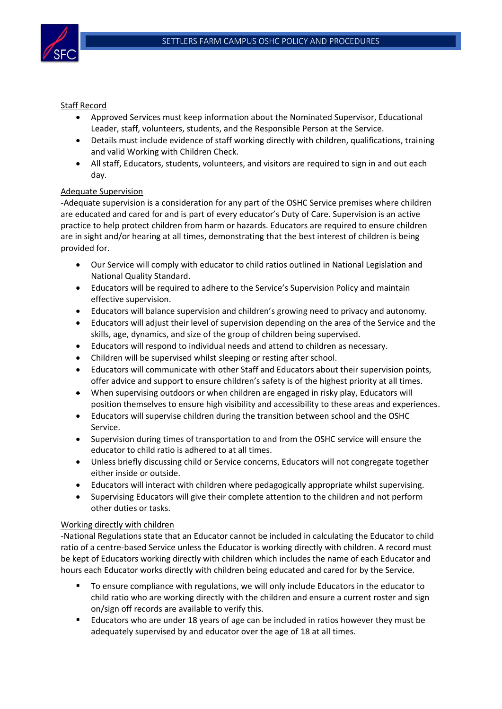

## Staff Record

- Approved Services must keep information about the Nominated Supervisor, Educational Leader, staff, volunteers, students, and the Responsible Person at the Service.
- Details must include evidence of staff working directly with children, qualifications, training and valid Working with Children Check.
- All staff, Educators, students, volunteers, and visitors are required to sign in and out each day.

# Adequate Supervision

-Adequate supervision is a consideration for any part of the OSHC Service premises where children are educated and cared for and is part of every educator's Duty of Care. Supervision is an active practice to help protect children from harm or hazards. Educators are required to ensure children are in sight and/or hearing at all times, demonstrating that the best interest of children is being provided for.

- Our Service will comply with educator to child ratios outlined in National Legislation and National Quality Standard.
- Educators will be required to adhere to the Service's Supervision Policy and maintain effective supervision.
- Educators will balance supervision and children's growing need to privacy and autonomy.
- Educators will adjust their level of supervision depending on the area of the Service and the skills, age, dynamics, and size of the group of children being supervised.
- Educators will respond to individual needs and attend to children as necessary.
- Children will be supervised whilst sleeping or resting after school.
- Educators will communicate with other Staff and Educators about their supervision points, offer advice and support to ensure children's safety is of the highest priority at all times.
- When supervising outdoors or when children are engaged in risky play, Educators will position themselves to ensure high visibility and accessibility to these areas and experiences.
- Educators will supervise children during the transition between school and the OSHC Service.
- Supervision during times of transportation to and from the OSHC service will ensure the educator to child ratio is adhered to at all times.
- Unless briefly discussing child or Service concerns, Educators will not congregate together either inside or outside.
- Educators will interact with children where pedagogically appropriate whilst supervising.
- Supervising Educators will give their complete attention to the children and not perform other duties or tasks.

## Working directly with children

-National Regulations state that an Educator cannot be included in calculating the Educator to child ratio of a centre-based Service unless the Educator is working directly with children. A record must be kept of Educators working directly with children which includes the name of each Educator and hours each Educator works directly with children being educated and cared for by the Service.

- To ensure compliance with regulations, we will only include Educators in the educator to child ratio who are working directly with the children and ensure a current roster and sign on/sign off records are available to verify this.
- **E** ducators who are under 18 years of age can be included in ratios however they must be adequately supervised by and educator over the age of 18 at all times.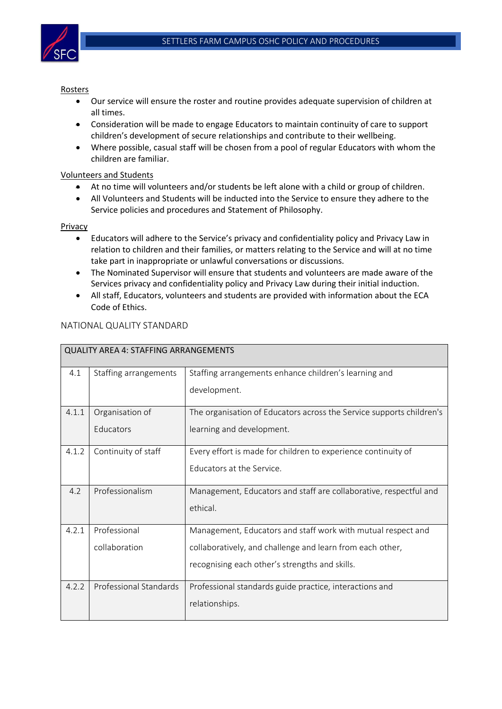

### Rosters

- Our service will ensure the roster and routine provides adequate supervision of children at all times.
- Consideration will be made to engage Educators to maintain continuity of care to support children's development of secure relationships and contribute to their wellbeing.
- Where possible, casual staff will be chosen from a pool of regular Educators with whom the children are familiar.

# Volunteers and Students

- At no time will volunteers and/or students be left alone with a child or group of children.
- All Volunteers and Students will be inducted into the Service to ensure they adhere to the Service policies and procedures and Statement of Philosophy.

## Privacy

- Educators will adhere to the Service's privacy and confidentiality policy and Privacy Law in relation to children and their families, or matters relating to the Service and will at no time take part in inappropriate or unlawful conversations or discussions.
- The Nominated Supervisor will ensure that students and volunteers are made aware of the Services privacy and confidentiality policy and Privacy Law during their initial induction.
- All staff, Educators, volunteers and students are provided with information about the ECA Code of Ethics.

| <b>QUALITY AREA 4: STAFFING ARRANGEMENTS</b> |                       |                                                                      |  |  |
|----------------------------------------------|-----------------------|----------------------------------------------------------------------|--|--|
| 4.1                                          | Staffing arrangements | Staffing arrangements enhance children's learning and                |  |  |
|                                              |                       | development.                                                         |  |  |
| 4.1.1                                        | Organisation of       | The organisation of Educators across the Service supports children's |  |  |
|                                              | Educators             | learning and development.                                            |  |  |
| 4.1.2                                        | Continuity of staff   | Every effort is made for children to experience continuity of        |  |  |
|                                              |                       | Educators at the Service.                                            |  |  |
| 4.2                                          | Professionalism       | Management, Educators and staff are collaborative, respectful and    |  |  |
|                                              |                       | ethical.                                                             |  |  |
| Professional<br>4.2.1                        |                       | Management, Educators and staff work with mutual respect and         |  |  |
|                                              | collaboration         | collaboratively, and challenge and learn from each other,            |  |  |
|                                              |                       | recognising each other's strengths and skills.                       |  |  |
| 4.2.2<br>Professional Standards              |                       | Professional standards guide practice, interactions and              |  |  |
|                                              |                       | relationships.                                                       |  |  |

# NATIONAL QUALITY STANDARD